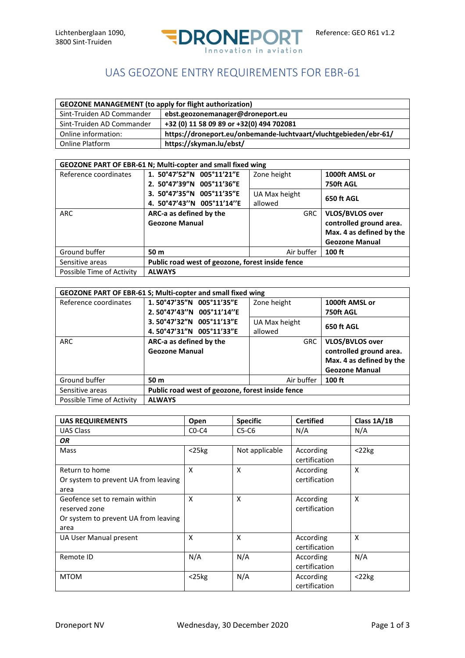

## UAS GEOZONE ENTRY REQUIREMENTS FOR EBR-61

| <b>GEOZONE MANAGEMENT (to apply for flight authorization)</b> |                                                                  |  |  |
|---------------------------------------------------------------|------------------------------------------------------------------|--|--|
| Sint-Truiden AD Commander                                     | ebst.geozonemanager@droneport.eu                                 |  |  |
| Sint-Truiden AD Commander                                     | +32 (0) 11 58 09 89 or +32(0) 494 702081                         |  |  |
| Online information:                                           | https://droneport.eu/onbemande-luchtvaart/vluchtgebieden/ebr-61/ |  |  |
| Online Platform                                               | https://skyman.lu/ebst/                                          |  |  |

| GEOZONE PART OF EBR-61 N; Multi-copter and small fixed wing |                                                  |               |                          |  |
|-------------------------------------------------------------|--------------------------------------------------|---------------|--------------------------|--|
| Reference coordinates                                       | 1. 50°47'52"N 005°11'21"E                        | Zone height   | 1000ft AMSL or           |  |
|                                                             | 2. 50°47'39"N 005°11'36"E                        |               | 750ft AGL                |  |
|                                                             | 3. 50°47'35"N 005°11'35"E                        | UA Max height | 650 ft AGL               |  |
|                                                             | 4. 50°47'43"N 005°11'14"E                        | allowed       |                          |  |
| <b>ARC</b>                                                  | ARC-a as defined by the                          | <b>GRC</b>    | <b>VLOS/BVLOS over</b>   |  |
|                                                             | <b>Geozone Manual</b>                            |               | controlled ground area.  |  |
|                                                             |                                                  |               | Max. 4 as defined by the |  |
|                                                             |                                                  |               | <b>Geozone Manual</b>    |  |
| Ground buffer                                               | 50 m                                             | Air buffer    | $100$ ft                 |  |
| Sensitive areas                                             | Public road west of geozone, forest inside fence |               |                          |  |
| Possible Time of Activity                                   | <b>ALWAYS</b>                                    |               |                          |  |

| <b>GEOZONE PART OF EBR-61 S; Multi-copter and small fixed wing</b> |                                                  |               |                          |
|--------------------------------------------------------------------|--------------------------------------------------|---------------|--------------------------|
| Reference coordinates                                              | 1.50°47'35"N 005°11'35"E                         | Zone height   | 1000ft AMSL or           |
|                                                                    | 2.50°47'43"N 005°11'14"E                         |               | 750ft AGL                |
|                                                                    | 3.50°47'32"N 005°11'13"E                         | UA Max height | 650 ft AGL               |
|                                                                    | 4.50°47'31"N 005°11'33"E                         | allowed       |                          |
| <b>ARC</b>                                                         | ARC-a as defined by the                          | <b>GRC</b>    | <b>VLOS/BVLOS over</b>   |
|                                                                    | <b>Geozone Manual</b>                            |               | controlled ground area.  |
|                                                                    |                                                  |               | Max. 4 as defined by the |
|                                                                    |                                                  |               | <b>Geozone Manual</b>    |
| Ground buffer                                                      | 50 m                                             | Air buffer    | 100 ft                   |
| Sensitive areas                                                    | Public road west of geozone, forest inside fence |               |                          |
| Possible Time of Activity                                          | <b>ALWAYS</b>                                    |               |                          |

| <b>UAS REQUIREMENTS</b>              | Open        | <b>Specific</b>           | <b>Certified</b>           | Class 1A/1B |
|--------------------------------------|-------------|---------------------------|----------------------------|-------------|
| UAS Class                            | $CO-C4$     | $C5-C6$                   | N/A                        | N/A         |
| ΟR                                   |             |                           |                            |             |
| Mass                                 | $<$ 25 $kg$ | Not applicable            | According<br>certification | $<$ 22 $kg$ |
| Return to home                       | X           | $\boldsymbol{\mathsf{x}}$ | According                  | X           |
| Or system to prevent UA from leaving |             |                           | certification              |             |
| area                                 |             |                           |                            |             |
| Geofence set to remain within        | X           | X                         | According                  | X           |
| reserved zone                        |             |                           | certification              |             |
| Or system to prevent UA from leaving |             |                           |                            |             |
| area                                 |             |                           |                            |             |
| UA User Manual present               | X           | X                         | According                  | X           |
|                                      |             |                           | certification              |             |
| Remote ID                            | N/A         | N/A                       | According                  | N/A         |
|                                      |             |                           | certification              |             |
| <b>MTOM</b>                          | $<$ 25 $kg$ | N/A                       | According                  | $<$ 22 $kg$ |
|                                      |             |                           | certification              |             |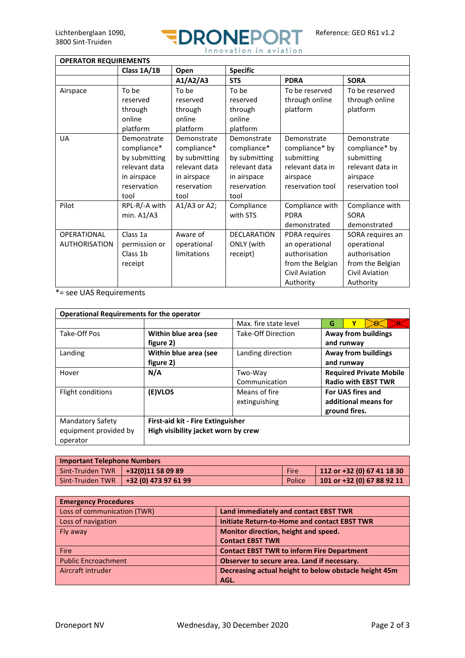

| <b>OPERATOR REQUIREMENTS</b>        |                                                                                                    |                                                                                                    |                                                                                                    |                                                                                                     |                                                                                                     |
|-------------------------------------|----------------------------------------------------------------------------------------------------|----------------------------------------------------------------------------------------------------|----------------------------------------------------------------------------------------------------|-----------------------------------------------------------------------------------------------------|-----------------------------------------------------------------------------------------------------|
|                                     | Class 1A/1B                                                                                        | Open                                                                                               | <b>Specific</b>                                                                                    |                                                                                                     |                                                                                                     |
|                                     |                                                                                                    | A1/A2/A3                                                                                           | <b>STS</b>                                                                                         | <b>PDRA</b>                                                                                         | <b>SORA</b>                                                                                         |
| Airspace                            | To be<br>reserved<br>through<br>online<br>platform                                                 | To be<br>reserved<br>through<br>online<br>platform                                                 | To be<br>reserved<br>through<br>online<br>platform                                                 | To be reserved<br>through online<br>platform                                                        | To be reserved<br>through online<br>platform                                                        |
| <b>UA</b>                           | Demonstrate<br>compliance*<br>by submitting<br>relevant data<br>in airspace<br>reservation<br>tool | Demonstrate<br>compliance*<br>by submitting<br>relevant data<br>in airspace<br>reservation<br>tool | Demonstrate<br>compliance*<br>by submitting<br>relevant data<br>in airspace<br>reservation<br>tool | Demonstrate<br>compliance* by<br>submitting<br>relevant data in<br>airspace<br>reservation tool     | Demonstrate<br>compliance* by<br>submitting<br>relevant data in<br>airspace<br>reservation tool     |
| Pilot                               | RPL-R/-A with<br>min. $A1/A3$                                                                      | $A1/A3$ or A2;                                                                                     | Compliance<br>with STS                                                                             | Compliance with<br><b>PDRA</b><br>demonstrated                                                      | Compliance with<br><b>SORA</b><br>demonstrated                                                      |
| OPERATIONAL<br><b>AUTHORISATION</b> | Class 1a<br>permission or<br>Class 1b<br>receipt                                                   | Aware of<br>operational<br>limitations                                                             | DECLARATION<br>ONLY (with<br>receipt)                                                              | PDRA requires<br>an operational<br>authorisation<br>from the Belgian<br>Civil Aviation<br>Authority | SORA requires an<br>operational<br>authorisation<br>from the Belgian<br>Civil Aviation<br>Authority |

\*= see UAS Requirements

| <b>Operational Requirements for the operator</b> |                                          |                       |                                |                            |  |  |
|--------------------------------------------------|------------------------------------------|-----------------------|--------------------------------|----------------------------|--|--|
|                                                  |                                          | Max. fire state level | G                              | v                          |  |  |
| Take-Off Pos                                     | Within blue area (see                    | Take-Off Direction    | Away from buildings            |                            |  |  |
|                                                  | figure 2)                                |                       | and runway                     |                            |  |  |
| Landing                                          | Within blue area (see                    | Landing direction     | Away from buildings            |                            |  |  |
|                                                  | figure 2)                                |                       | and runway                     |                            |  |  |
| Hover                                            | N/A                                      | Two-Way               | <b>Required Private Mobile</b> |                            |  |  |
|                                                  |                                          | Communication         |                                | <b>Radio with EBST TWR</b> |  |  |
| Flight conditions                                | (E)VLOS                                  | Means of fire         | For UAS fires and              |                            |  |  |
|                                                  |                                          | extinguishing         |                                | additional means for       |  |  |
|                                                  |                                          |                       |                                | ground fires.              |  |  |
| <b>Mandatory Safety</b>                          | <b>First-aid kit - Fire Extinguisher</b> |                       |                                |                            |  |  |
| equipment provided by                            | High visibility jacket worn by crew      |                       |                                |                            |  |  |
| operator                                         |                                          |                       |                                |                            |  |  |

| <b>Important Telephone Numbers</b>   |                                         |             |                            |  |
|--------------------------------------|-----------------------------------------|-------------|----------------------------|--|
| Sint-Truiden TWR   +32(0)11 58 09 89 |                                         | <b>Fire</b> | 112 or +32 (0) 67 41 18 30 |  |
|                                      | Sint-Truiden TWR   +32 (0) 473 97 61 99 | Police      | 101 or +32 (0) 67 88 92 11 |  |

| <b>Emergency Procedures</b> |                                                       |
|-----------------------------|-------------------------------------------------------|
| Loss of communication (TWR) | Land immediately and contact EBST TWR                 |
| Loss of navigation          | <b>Initiate Return-to-Home and contact EBST TWR</b>   |
| Fly away                    | Monitor direction, height and speed.                  |
|                             | <b>Contact EBST TWR</b>                               |
| Fire                        | <b>Contact EBST TWR to inform Fire Department</b>     |
| <b>Public Encroachment</b>  | Observer to secure area. Land if necessary.           |
| Aircraft intruder           | Decreasing actual height to below obstacle height 45m |
|                             | AGL.                                                  |